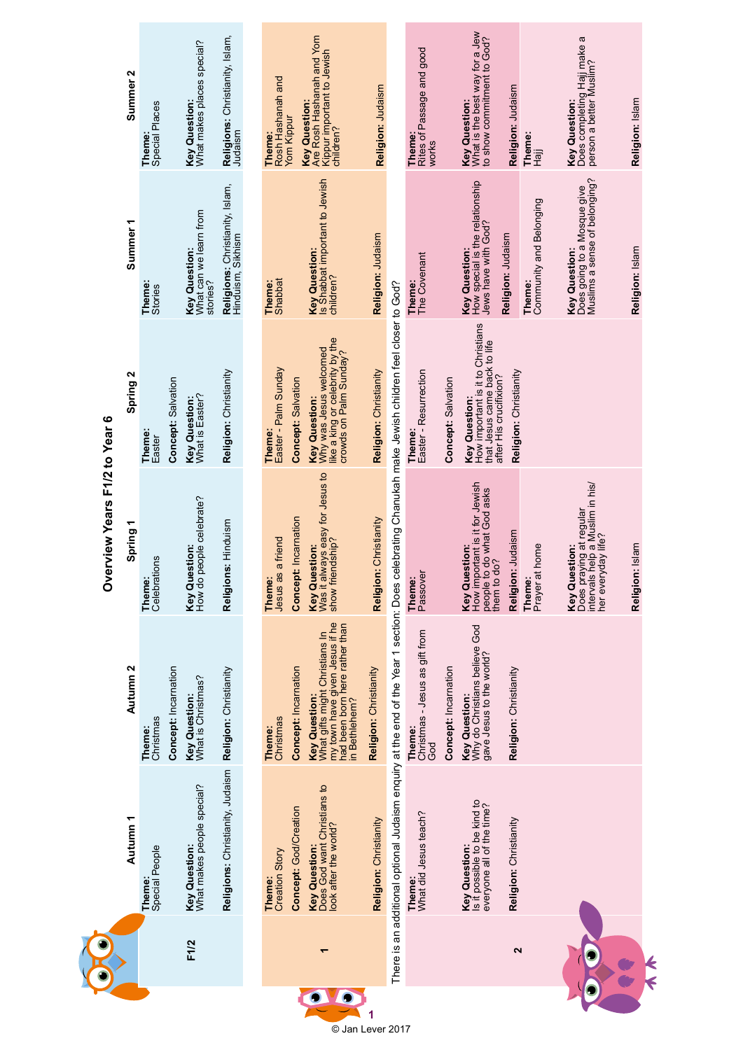|                                  | N<br>Summer         | <b>Theme:</b><br>Special Places |                      | What makes places special?<br>Key Question:                | <b>Religions:</b> Christianity, Islam,<br>Judaism    | Rosh Hashanah and<br>Yom Kippur<br>Theme:                | Key Question:<br>Are Rosh Hashanah and Yom<br>Kippur important to Jewish                                                                    | Religion: Judaism      |                                                                                                                                                      | Rites of Passage and good<br>Theme:<br>works    |                      | What is the best way for a Jew<br>to show commitment to God?<br><b>Key Question:</b>                         | Religion: Judaism      | Theme:<br>Hajj                    | Does completing Hajj make a<br>person a better Muslim?<br><b>Key Question:</b>                    | Religion: Islam |
|----------------------------------|---------------------|---------------------------------|----------------------|------------------------------------------------------------|------------------------------------------------------|----------------------------------------------------------|---------------------------------------------------------------------------------------------------------------------------------------------|------------------------|------------------------------------------------------------------------------------------------------------------------------------------------------|-------------------------------------------------|----------------------|--------------------------------------------------------------------------------------------------------------|------------------------|-----------------------------------|---------------------------------------------------------------------------------------------------|-----------------|
|                                  | Summer <sub>1</sub> | Theme:<br><b>Stories</b>        |                      | What can we learn from<br><b>Key Question:</b><br>stories? | Religions: Christianity, Islam,<br>Hinduism, Sikhism | Theme:<br>Shabbat                                        | Key Question:<br>Is Shabbat important to Jewish<br>children?                                                                                | Religion: Judaism      |                                                                                                                                                      | <b>Theme:</b><br>The Covenant                   |                      | How special is the relationship<br>Jews have with God?<br>Key Question:                                      | Religion: Judaism      | Community and Belonging<br>Theme: | Muslims a sense of belonging?<br>Does going to a Mosque give<br><b>Key Question:</b>              | Religion: Islam |
| erview Years F1/2 to Year 6<br>ò | Spring 2            | Theme:<br>Easter                | Concept: Salvation   | <b>Key Question:</b><br>What is Easter?                    | Religion: Christianity                               | Easter - Palm Sunday<br>Concept: Salvation<br>Theme:     | like a king or celebrity by the<br>crowds on Palm Sunday?<br>Why was Jesus welcomed<br><b>Key Question:</b>                                 | Religion: Christianity |                                                                                                                                                      | Easter - Resurrection<br>Theme:                 | Concept: Salvation   | How important is it to Christians<br>that Jesus came back to life<br>after His crucifixion?<br>Key Question: | Religion: Christianity |                                   |                                                                                                   |                 |
|                                  | ٣<br>Spring         | Celebrations<br>Theme:          |                      | people celebrate?<br><b>Key Question:</b><br>How do        | Religions: Hinduism                                  | Concept: Incarnation<br>Jesus as a friend<br>Theme:      | Was it always easy for Jesus to<br>show friendship?<br><b>Key Question:</b>                                                                 | Religion: Christianity |                                                                                                                                                      | Passover<br>Theme:                              |                      | How important is it for Jewish<br>people to do what God asks<br>them to do?<br><b>Key Question:</b>          | Religion: Judaism      | Prayer at home<br>Theme:          | Does praying at regular<br>intervals help a Muslim in his/<br>her everyday life?<br>Key Question: | Religion: Islam |
|                                  | Autumn 2            | Christmas<br>Theme:             | Concept: Incarnation | Key Question:<br>What is Christmas?                        | Religion: Christianity                               | Concept: Incarnation<br>Christmas<br>Theme:              | my town have given Jesus if he<br>had been born here rather than<br>What gifts might Christians In<br><b>Key Question:</b><br>in Bethlehem? | Religion: Christianity |                                                                                                                                                      | Christmas - Jesus as gift from<br>Theme:<br>God | Concept: Incarnation | Why do Christians believe God<br>gave Jesus to the world?<br><b>Key Question:</b>                            | Religion: Christianity |                                   |                                                                                                   |                 |
|                                  | Autumn 1            | Special People<br>Theme:        |                      | Key Question:<br>What makes people special?                | Religions: Christianity, Judaism                     | Concept: God/Creation<br><b>Creation Story</b><br>Theme: | Does God want Christians to<br>look after the world?<br><b>Key Question:</b>                                                                | Religion: Christianity | There is an additional optional Judaism enquiry at the end of the Year 1 section: Does celebrating Chanukah make Jewish children feel closer to God? | What did Jesus teach?<br>Theme:                 |                      | Is it possible to be kind to<br>everyone all of the time?<br>Key Question:                                   | Religion: Christianity |                                   |                                                                                                   |                 |
|                                  |                     |                                 |                      | F1/2                                                       |                                                      |                                                          |                                                                                                                                             |                        |                                                                                                                                                      |                                                 |                      |                                                                                                              | $\mathbf{\Omega}$      |                                   |                                                                                                   |                 |

© Jan Lever 2017

**1**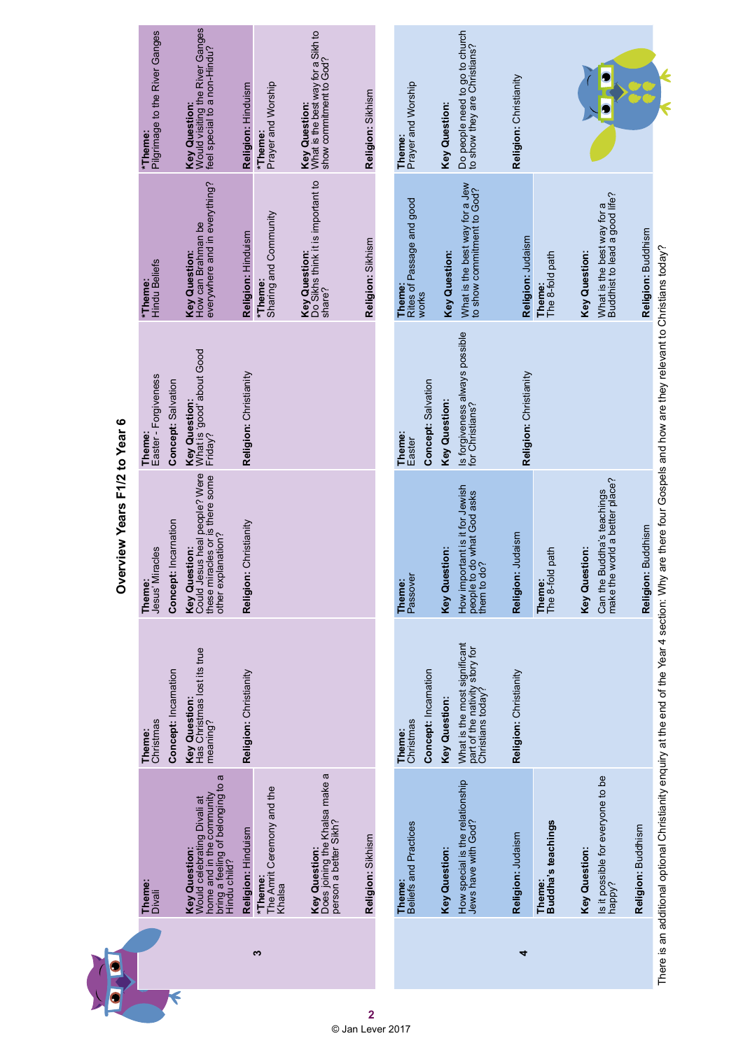|   |                                                                                                                                       |                                                                                     | <b>DAALAM LASH WASHAIND</b>                                                                             |                                                                       |                                                                      |                                                                                  |
|---|---------------------------------------------------------------------------------------------------------------------------------------|-------------------------------------------------------------------------------------|---------------------------------------------------------------------------------------------------------|-----------------------------------------------------------------------|----------------------------------------------------------------------|----------------------------------------------------------------------------------|
|   | Theme:<br>Divali                                                                                                                      | Christmas<br>Theme:                                                                 | Jesus' Miracles<br>Theme:                                                                               | Theme:<br>Easter - Forgiveness                                        | <b>Hindu Beliefs</b><br>*Theme:                                      | Pilgrimage to the River Ganges<br>*Theme:                                        |
| K |                                                                                                                                       | Concept: Incarnation                                                                | Concept: Incarnation                                                                                    | Concept: Salvation                                                    |                                                                      |                                                                                  |
|   | bring a feeling of belonging to a<br>Hindu child?<br>home and in the community<br>Would celebrating Divali at<br><b>Key Question:</b> | <b>Key Question:</b><br>Has Christmas lost its true<br>meaning?                     | Could Jesus heal people? Were<br>these miracles or is there some<br>other explanation?<br>Key Question: | <b>Key Question:</b><br>What is 'good' about Good<br>Friday?          | Key Question:<br>How can Brahman be<br>everywhere and in everything? | Key Question:<br>Would visiting the River Ganges<br>feel special to a non-Hindu? |
|   | Religion: Hinduism                                                                                                                    | Religion: Christianity                                                              | Religion: Christianity                                                                                  | Religion: Christianity                                                | Religion: Hinduism                                                   | Religion: Hinduism                                                               |
| S | The Amrit Ceremony and the<br>*Theme:<br>Khalsa                                                                                       |                                                                                     |                                                                                                         |                                                                       | Sharing and Community<br>*Theme:                                     | Prayer and Worship<br>*Theme:                                                    |
|   | Does joining the Khalsa make a<br>person a better Sikh?<br>Key Question:                                                              |                                                                                     |                                                                                                         |                                                                       | Key Question:<br>Do Sikhs think it is important to<br>share?         | What is the best way for a Sikh to<br>show commitment to God?<br>Key Question:   |
|   | Religion: Sikhism                                                                                                                     |                                                                                     |                                                                                                         |                                                                       | Religion: Sikhism                                                    | Religion: Sikhism                                                                |
|   |                                                                                                                                       |                                                                                     |                                                                                                         |                                                                       |                                                                      |                                                                                  |
|   | Beliefs and Practices<br>Theme:                                                                                                       | Concept: Incarnation<br>Christmas<br>Theme:                                         | Passover<br>Theme:                                                                                      | Concept: Salvation<br>Theme:<br>Easter                                | Rites of Passage and good<br>Theme:<br>works                         | Prayer and Worship<br>Theme:                                                     |
|   | <b>Key Question:</b>                                                                                                                  | <b>Key Question:</b>                                                                | Key Question:                                                                                           | <b>Key Question:</b>                                                  | <b>Key Question:</b>                                                 | <b>Key Question:</b>                                                             |
|   | How special is the relationship<br>Jews have with God?                                                                                | What is the most significant<br>part of the nativity story for<br>Christians today? | How important is it for Jewish<br>people to do what God asks<br>them to do?                             | Is forgiveness always possible<br>for Christians?                     | What is the best way for a Jew<br>to show commitment to God?         | Do people need to go to church<br>to show they are Christians?                   |
| 4 | Religion: Judaism                                                                                                                     | Religion: Christianity                                                              | Religion: Judaism                                                                                       | Religion: Christianity                                                | Religion: Judaism                                                    | Religion: Christianity                                                           |
|   | Theme:<br>Buddha's teachings                                                                                                          |                                                                                     | The 8-fold path<br>Theme:                                                                               |                                                                       | Theme:<br>The 8-fold path                                            |                                                                                  |
|   | Key Question:                                                                                                                         |                                                                                     | Key Question:                                                                                           |                                                                       | <b>Key Question:</b>                                                 |                                                                                  |
|   | Is it possible for everyone to be<br>happy?                                                                                           |                                                                                     | make the world a better place?<br>Buddha's teachings<br>Can the                                         |                                                                       | What is the best way for a<br>Buddhist to lead a good life?          |                                                                                  |
|   | Religion: Buddhism                                                                                                                    |                                                                                     | Religion: Buddhism                                                                                      |                                                                       | Religion: Buddhism                                                   |                                                                                  |
|   | There is an additional optional Christianity enquiry at the end of the Year 4 section: Why                                            |                                                                                     |                                                                                                         | are there four Gospels and how are they relevant to Christians today? |                                                                      |                                                                                  |

Overview Years F1/2 to Year 6 **Overview Years F1/2 to Year 6**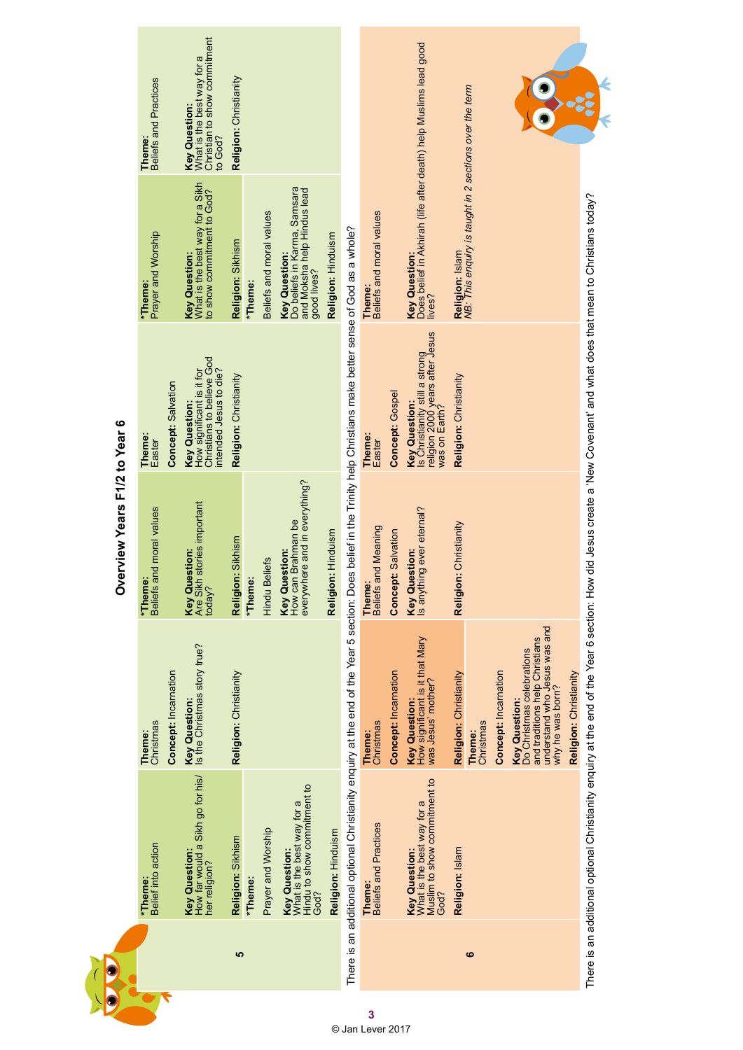|   |                                                                                                                                                                           |                                                                                                                                         | Overview Years F1/2 to Year 6                                               |                                                                                                            |                                                                                                   |                                                                                              |
|---|---------------------------------------------------------------------------------------------------------------------------------------------------------------------------|-----------------------------------------------------------------------------------------------------------------------------------------|-----------------------------------------------------------------------------|------------------------------------------------------------------------------------------------------------|---------------------------------------------------------------------------------------------------|----------------------------------------------------------------------------------------------|
|   | Belief into action<br>*Theme:                                                                                                                                             | Christmas<br>Theme:                                                                                                                     | Beliefs and moral values<br>*Theme:                                         | Theme:<br>Easter                                                                                           | Prayer and Worship<br>*Theme:                                                                     | <b>Theme:</b><br>Beliefs and Practices                                                       |
|   |                                                                                                                                                                           | Concept: Incarnation                                                                                                                    |                                                                             | Concept: Salvation                                                                                         |                                                                                                   |                                                                                              |
|   | How far would a Sikh go for his/<br><b>Key Question:</b><br>her religion?                                                                                                 | Key Question:<br>Is the Christmas story true?                                                                                           | Key Question:<br>Are Sikh stories important<br>today?                       | Christians to believe God<br>intended Jesus to die?<br>How significant is it for<br><b>Key Question:</b>   | Key Question:<br>What is the best way for a Sikh<br>to show commitment to God?                    | Christian to show commitment<br><b>Key Question:</b><br>What is the best way for a<br>o God? |
| 5 | Religion: Sikhism                                                                                                                                                         | Religion: Christianity                                                                                                                  | Religion: Sikhism                                                           | Religion: Christianity                                                                                     | Religion: Sikhism                                                                                 | Religion: Christianity                                                                       |
|   | *Theme:                                                                                                                                                                   |                                                                                                                                         | *Theme:                                                                     |                                                                                                            | *Theme:                                                                                           |                                                                                              |
|   | Prayer and Worship                                                                                                                                                        |                                                                                                                                         | <b>Hindu Beliefs</b>                                                        |                                                                                                            | Beliefs and moral values                                                                          |                                                                                              |
|   | Hindu to show commitment to<br>What is the best way for a<br><b>Key Question:</b><br>God?                                                                                 |                                                                                                                                         | everywhere and in everything?<br>How can Brahman be<br><b>Key Question:</b> |                                                                                                            | Do beliefs in Karma, Samsara<br>and Moksha help Hindus lead<br><b>Key Question</b><br>good lives? |                                                                                              |
|   | Religion: Hinduism                                                                                                                                                        |                                                                                                                                         | Religion: Hinduism                                                          |                                                                                                            | Religion: Hinduism                                                                                |                                                                                              |
|   | There is an additional optional Christianity enquiry at the end of the Year 5 section: Does belief in the Trinity help Christians make better sense of God as a whole?    |                                                                                                                                         |                                                                             |                                                                                                            |                                                                                                   |                                                                                              |
|   | <b>Beliefs and Practices</b><br>Theme:                                                                                                                                    | Christmas<br>Theme:                                                                                                                     | <b>Beliefs and Meaning</b><br>Theme:                                        | Theme:<br>Easter                                                                                           | Beliefs and moral values<br>Theme:                                                                |                                                                                              |
|   |                                                                                                                                                                           | Concept: Incarnation                                                                                                                    | <b>Concept: Salvation</b>                                                   | Concept: Gospel                                                                                            |                                                                                                   |                                                                                              |
|   | Muslim to show commitment to<br>What is the best way for a<br><b>Key Question:</b><br>God?                                                                                | How significant is it that Mary<br>was Jesus' mother?<br><b>Key Question:</b>                                                           | s anything ever eternal?<br><b>Key Question:</b>                            | Is Christianity still a strong<br>religion 2000 years after Jesus<br>was on Earth?<br><b>Key Question:</b> | Doés belief in Akhirah (life after death) help Muslims lead good<br>ives?<br><b>Key Question:</b> |                                                                                              |
|   | Religion: Islam                                                                                                                                                           | Religion: Christianity                                                                                                                  | Religion: Christianity                                                      | Religion: Christianity                                                                                     | Religion: Islam<br>NB: This enquiry is taught in 2 sections over the term                         |                                                                                              |
| ဖ |                                                                                                                                                                           | Christmas<br>Theme:                                                                                                                     |                                                                             |                                                                                                            |                                                                                                   |                                                                                              |
|   |                                                                                                                                                                           | Concept: Incarnation                                                                                                                    |                                                                             |                                                                                                            |                                                                                                   |                                                                                              |
|   |                                                                                                                                                                           | understand who Jesus was and<br>and traditions help Christians<br>Do Christmas celebrations<br>why he was born?<br><b>Key Question:</b> |                                                                             |                                                                                                            |                                                                                                   |                                                                                              |
|   |                                                                                                                                                                           | Religion: Christianity                                                                                                                  |                                                                             |                                                                                                            |                                                                                                   |                                                                                              |
|   | There is an additional optional Christianity enquiry at the end of the Year 6 section: How did Jesus create a 'New Covenant' and what does that mean to Christians today? |                                                                                                                                         |                                                                             |                                                                                                            |                                                                                                   |                                                                                              |
|   |                                                                                                                                                                           |                                                                                                                                         |                                                                             |                                                                                                            |                                                                                                   |                                                                                              |

**T**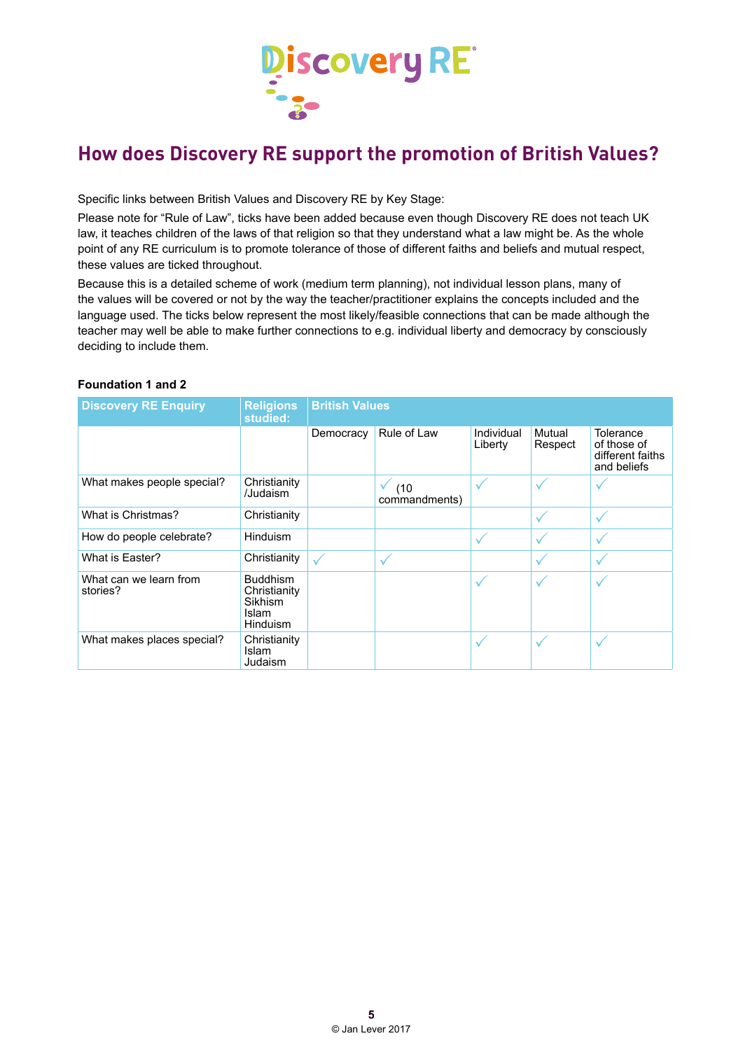

# **How does Discovery RE support the promotion of British Values?**

Specific links between British Values and Discovery RE by Key Stage:

Please note for "Rule of Law", ticks have been added because even though Discovery RE does not teach UK law, it teaches children of the laws of that religion so that they understand what a law might be. As the whole point of any RE curriculum is to promote tolerance of those of different faiths and beliefs and mutual respect, these values are ticked throughout.

Because this is a detailed scheme of work (medium term planning), not individual lesson plans, many of the values will be covered or not by the way the teacher/practitioner explains the concepts included and the language used. The ticks below represent the most likely/feasible connections that can be made although the teacher may well be able to make further connections to e.g. individual liberty and democracy by consciously deciding to include them.

#### **Foundation 1 and 2**

| <b>Discovery RE Enquiry</b>        | <b>Religions</b><br>studied:                                           | <b>British Values</b> |                                 |                       |                   |                                                             |
|------------------------------------|------------------------------------------------------------------------|-----------------------|---------------------------------|-----------------------|-------------------|-------------------------------------------------------------|
|                                    |                                                                        | Democracy             | Rule of Law                     | Individual<br>Liberty | Mutual<br>Respect | Tolerance<br>of those of<br>different faiths<br>and beliefs |
| What makes people special?         | Christianity<br>/Judaism                                               |                       | $\sqrt{ }$ (10<br>commandments) |                       | ✓                 |                                                             |
| What is Christmas?                 | Christianity                                                           |                       |                                 |                       | ✓                 |                                                             |
| How do people celebrate?           | <b>Hinduism</b>                                                        |                       |                                 | ✓                     | ✓                 |                                                             |
| What is Easter?                    | Christianity                                                           |                       | ✓                               |                       |                   |                                                             |
| What can we learn from<br>stories? | <b>Buddhism</b><br>Christianity<br>Sikhism<br>Islam<br><b>Hinduism</b> |                       |                                 | ✓                     | ✓                 |                                                             |
| What makes places special?         | Christianity<br>Islam<br>Judaism                                       |                       |                                 | ✓                     | ✓                 | ✓                                                           |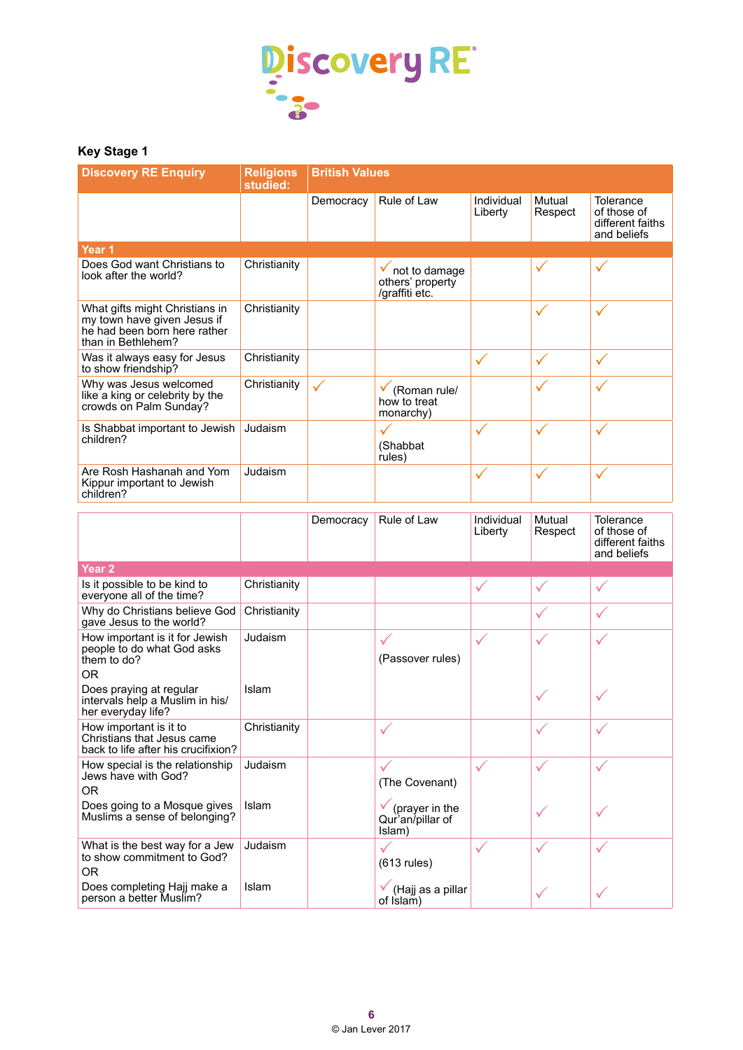

## **Key Stage 1**

| <b>Discovery RE Enquiry</b>                                                                                         | <b>Religions</b><br>studied: | <b>British Values</b> |                                                           |                       |                   |                                                             |
|---------------------------------------------------------------------------------------------------------------------|------------------------------|-----------------------|-----------------------------------------------------------|-----------------------|-------------------|-------------------------------------------------------------|
|                                                                                                                     |                              | Democracy             | Rule of Law                                               | Individual<br>Liberty | Mutual<br>Respect | Tolerance<br>of those of<br>different faiths<br>and beliefs |
| Year <sub>1</sub>                                                                                                   |                              |                       |                                                           |                       |                   |                                                             |
| Does God want Christians to<br>look after the world?                                                                | Christianity                 |                       | not to damage<br>others' property<br>/graffiti etc.       |                       | $\checkmark$      |                                                             |
| What gifts might Christians in<br>my town have given Jesus if<br>he had been born here rather<br>than in Bethlehem? | Christianity                 |                       |                                                           |                       | $\checkmark$      | $\checkmark$                                                |
| Was it always easy for Jesus<br>to show friendship?                                                                 | Christianity                 |                       |                                                           | $\checkmark$          | $\checkmark$      | $\checkmark$                                                |
| Why was Jesus welcomed<br>like a king or celebrity by the<br>crowds on Palm Sunday?                                 | Christianity                 | ✓                     | (Roman rule/<br>how to treat<br>monarchy)                 |                       | ✓                 |                                                             |
| Is Shabbat important to Jewish<br>children?                                                                         | Judaism                      |                       | $\checkmark$<br>(Shabbat<br>rules)                        | $\checkmark$          | $\checkmark$      | $\checkmark$                                                |
| Are Rosh Hashanah and Yom<br>Kippur important to Jewish<br>children?                                                | Judaism                      |                       |                                                           | $\checkmark$          | $\checkmark$      | $\checkmark$                                                |
|                                                                                                                     |                              | Democracy             | Rule of Law                                               | Individual<br>Liberty | Mutual<br>Respect | Tolerance<br>of those of<br>different faiths<br>and beliefs |
| Year <sub>2</sub>                                                                                                   |                              |                       |                                                           |                       |                   |                                                             |
| Is it possible to be kind to<br>everyone all of the time?                                                           | Christianity                 |                       |                                                           | $\checkmark$          | $\checkmark$      | $\checkmark$                                                |
| Why do Christians believe God<br>gave Jesus to the world?                                                           | Christianity                 |                       |                                                           |                       | ✓                 | $\checkmark$                                                |
| How important is it for Jewish<br>people to do what God asks<br>them to do?<br><b>OR</b>                            | Judaism                      |                       | ✓<br>(Passover rules)                                     | ✓                     | $\checkmark$      | $\checkmark$                                                |
| Does praying at regular<br>intervals help a Muslim in his/<br>her everyday life?                                    | Islam                        |                       |                                                           |                       | $\checkmark$      | $\checkmark$                                                |
| How important is it to<br>Christians that Jesus came<br>back to life after his crucifixion?                         | Christianity                 |                       | $\checkmark$                                              |                       |                   |                                                             |
| How special is the relationship<br>Jews have with God?<br><b>OR</b>                                                 | Judaism                      |                       | (The Covenant)                                            | $\checkmark$          | ✓                 | $\checkmark$                                                |
| Does going to a Mosque gives<br>Muslims a sense of belonging?                                                       | <b>Islam</b>                 |                       | $\checkmark$ (prayer in the<br>Qur'an/pillar of<br>Islam) |                       | ✓                 |                                                             |
| What is the best way for a Jew<br>to show commitment to God?<br><b>OR</b>                                           | Judaism                      |                       | $\checkmark$<br>$(613$ rules)                             | $\checkmark$          | ✓                 | ✓                                                           |
| Does completing Hajj make a<br>person a better Muslim?                                                              | Islam                        |                       | (Hajj as a pillar<br>of Islam)                            |                       | ✓                 |                                                             |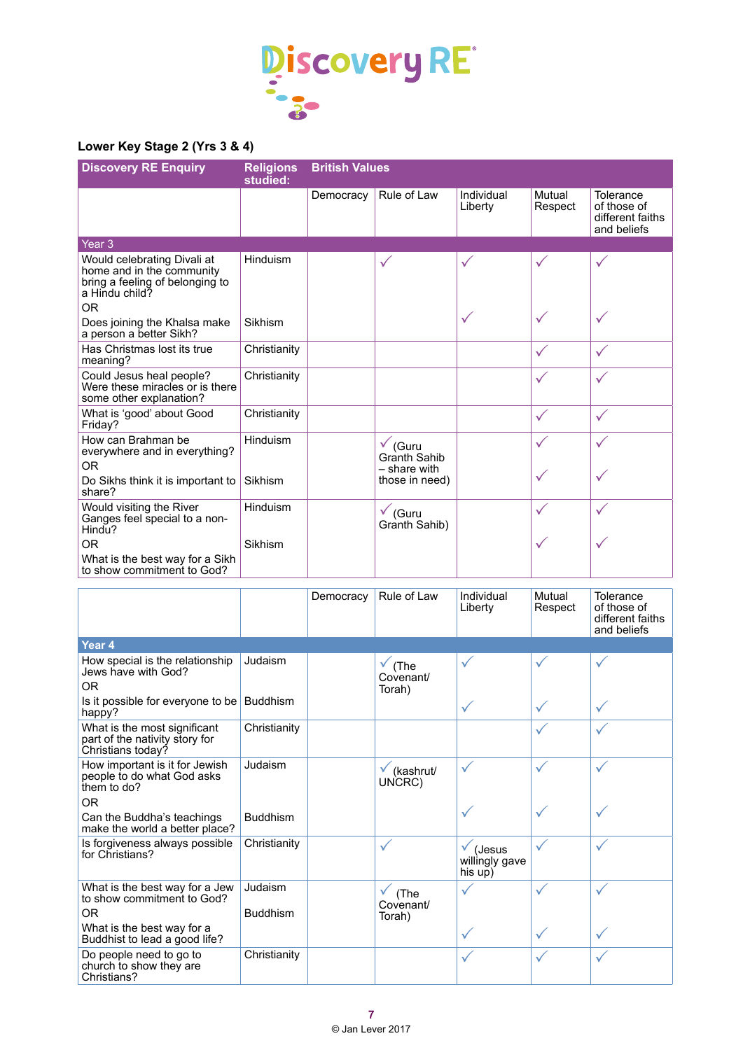

### **Lower Key Stage 2 (Yrs 3 & 4)**

| <b>Discovery RE Enquiry</b>                                                                                                     | <b>Religions</b><br>studied: | <b>British Values</b> |                                                           |                       |                   |                                                             |
|---------------------------------------------------------------------------------------------------------------------------------|------------------------------|-----------------------|-----------------------------------------------------------|-----------------------|-------------------|-------------------------------------------------------------|
|                                                                                                                                 |                              | Democracy             | Rule of Law                                               | Individual<br>Liberty | Mutual<br>Respect | Tolerance<br>of those of<br>different faiths<br>and beliefs |
| Year <sub>3</sub>                                                                                                               |                              |                       |                                                           |                       |                   |                                                             |
| Would celebrating Divali at<br>home and in the community<br>bring a feeling of belonging to<br>a Hindu child?<br>0 <sub>R</sub> | Hinduism                     |                       | ✓                                                         | $\checkmark$          | $\checkmark$      | ✓                                                           |
| Does joining the Khalsa make<br>a person a better Sikh?                                                                         | Sikhism                      |                       |                                                           | ✓                     | $\checkmark$      | ✓                                                           |
| Has Christmas lost its true<br>meaning?                                                                                         | Christianity                 |                       |                                                           |                       | $\checkmark$      | $\checkmark$                                                |
| Could Jesus heal people?<br>Were these miracles or is there<br>some other explanation?                                          | Christianity                 |                       |                                                           |                       | $\checkmark$      | $\checkmark$                                                |
| What is 'good' about Good<br>Friday?                                                                                            | Christianity                 |                       |                                                           |                       | $\checkmark$      | $\checkmark$                                                |
| How can Brahman be<br>everywhere and in everything?<br><b>OR</b>                                                                | Hinduism                     |                       | $\checkmark$ (Guru<br><b>Granth Sahib</b><br>- share with |                       | $\checkmark$      | $\checkmark$                                                |
| Do Sikhs think it is important to<br>share?                                                                                     | Sikhism                      |                       | those in need)                                            |                       | $\checkmark$      |                                                             |
| Would visiting the River<br>Ganges feel special to a non-<br>Hindu?                                                             | Hinduism                     |                       | $\checkmark$ (Guru<br>Granth Sahib)                       |                       | $\checkmark$      | $\checkmark$                                                |
| 0 <sub>R</sub>                                                                                                                  | Sikhism                      |                       |                                                           |                       | $\checkmark$      | ✓                                                           |
| What is the best way for a Sikh<br>to show commitment to God?                                                                   |                              |                       |                                                           |                       |                   |                                                             |

|                                                                                               |                            | Democracy | Rule of Law                              | Individual<br>Liberty                            | Mutual<br>Respect | Tolerance<br>of those of<br>different faiths<br>and beliefs |
|-----------------------------------------------------------------------------------------------|----------------------------|-----------|------------------------------------------|--------------------------------------------------|-------------------|-------------------------------------------------------------|
| Year <sub>4</sub>                                                                             |                            |           |                                          |                                                  |                   |                                                             |
| How special is the relationship<br>Jews have with God?<br><b>OR</b>                           | Judaism                    |           | (The<br>Covenant/<br>Torah)              | ✓                                                | ✓                 | ✓                                                           |
| Is it possible for everyone to be<br>happy?                                                   | <b>Buddhism</b>            |           |                                          | ✓                                                | $\checkmark$      | $\checkmark$                                                |
| What is the most significant<br>part of the nativity story for<br>Christians today?           | Christianity               |           |                                          |                                                  | ✓                 | $\checkmark$                                                |
| How important is it for Jewish<br>people to do what God asks<br>them to do?<br>0 <sub>R</sub> | Judaism                    |           | (kashrut/<br>UNCRC)                      | ✓                                                | $\checkmark$      | $\checkmark$                                                |
| Can the Buddha's teachings<br>make the world a better place?                                  | <b>Buddhism</b>            |           |                                          |                                                  | $\checkmark$      |                                                             |
| Is forgiveness always possible<br>for Christians?                                             | Christianity               |           | $\checkmark$                             | $\checkmark$ (Jesus<br>willingly gave<br>his up) | $\checkmark$      | ✓                                                           |
| What is the best way for a Jew<br>to show commitment to God?<br><b>OR</b>                     | Judaism<br><b>Buddhism</b> |           | $\checkmark$ (The<br>Covenant/<br>Torah) | ✓                                                | $\checkmark$      | $\checkmark$                                                |
| What is the best way for a<br>Buddhist to lead a good life?                                   |                            |           |                                          | ✓                                                | $\checkmark$      | $\checkmark$                                                |
| Do people need to go to<br>church to show they are<br>Christians?                             | Christianity               |           |                                          | ✓                                                | $\checkmark$      | $\checkmark$                                                |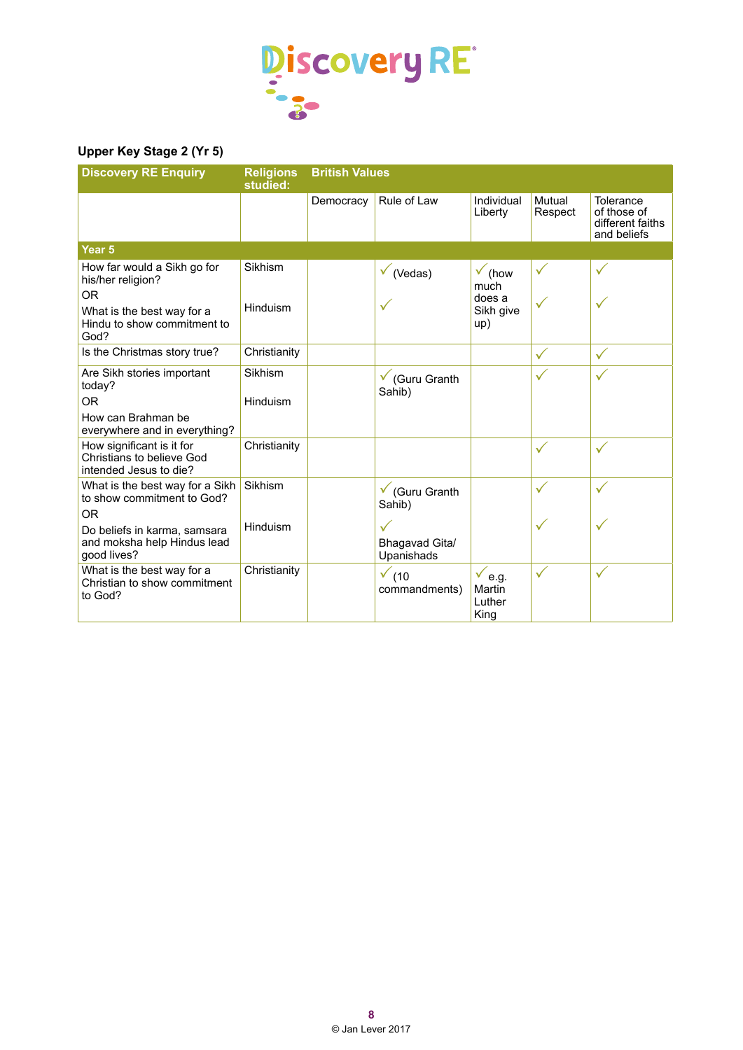

#### **Upper Key Stage 2 (Yr 5)**

| <b>Discovery RE Enquiry</b>                                                             | <b>Religions</b><br>studied: | <b>British Values</b> |                                              |                                               |                   |                                                             |
|-----------------------------------------------------------------------------------------|------------------------------|-----------------------|----------------------------------------------|-----------------------------------------------|-------------------|-------------------------------------------------------------|
|                                                                                         |                              | Democracy             | Rule of Law                                  | Individual<br>Liberty                         | Mutual<br>Respect | Tolerance<br>of those of<br>different faiths<br>and beliefs |
| Year <sub>5</sub>                                                                       |                              |                       |                                              |                                               |                   |                                                             |
| How far would a Sikh go for<br>his/her religion?                                        | Sikhism                      |                       | $\checkmark$ (Vedas)                         | $\checkmark$ (how<br>much                     | $\checkmark$      | $\checkmark$                                                |
| <b>OR</b><br>What is the best way for a<br>Hindu to show commitment to<br>God?          | Hinduism                     |                       |                                              | does a<br>Sikh give<br>up)                    | $\checkmark$      |                                                             |
| Is the Christmas story true?                                                            | Christianity                 |                       |                                              |                                               | $\checkmark$      | $\checkmark$                                                |
| Are Sikh stories important<br>today?                                                    | Sikhism                      |                       | $\checkmark$ (Guru Granth<br>Sahib)          |                                               | ✓                 | $\checkmark$                                                |
| OR.<br>How can Brahman be<br>everywhere and in everything?                              | Hinduism                     |                       |                                              |                                               |                   |                                                             |
| How significant is it for<br><b>Christians to believe God</b><br>intended Jesus to die? | Christianity                 |                       |                                              |                                               | $\checkmark$      | $\checkmark$                                                |
| What is the best way for a Sikh<br>to show commitment to God?<br>0 <sub>R</sub>         | Sikhism                      |                       | $\checkmark$ (Guru Granth<br>Sahib)          |                                               | $\checkmark$      | $\checkmark$                                                |
| Do beliefs in karma, samsara<br>and moksha help Hindus lead<br>good lives?              | Hinduism                     |                       | $\checkmark$<br>Bhagavad Gita/<br>Upanishads |                                               | $\checkmark$      | ✓                                                           |
| What is the best way for a<br>Christian to show commitment<br>to God?                   | Christianity                 |                       | $\checkmark$ (10<br>commandments)            | $\checkmark$ e.g.<br>Martin<br>Luther<br>King | $\checkmark$      | $\checkmark$                                                |